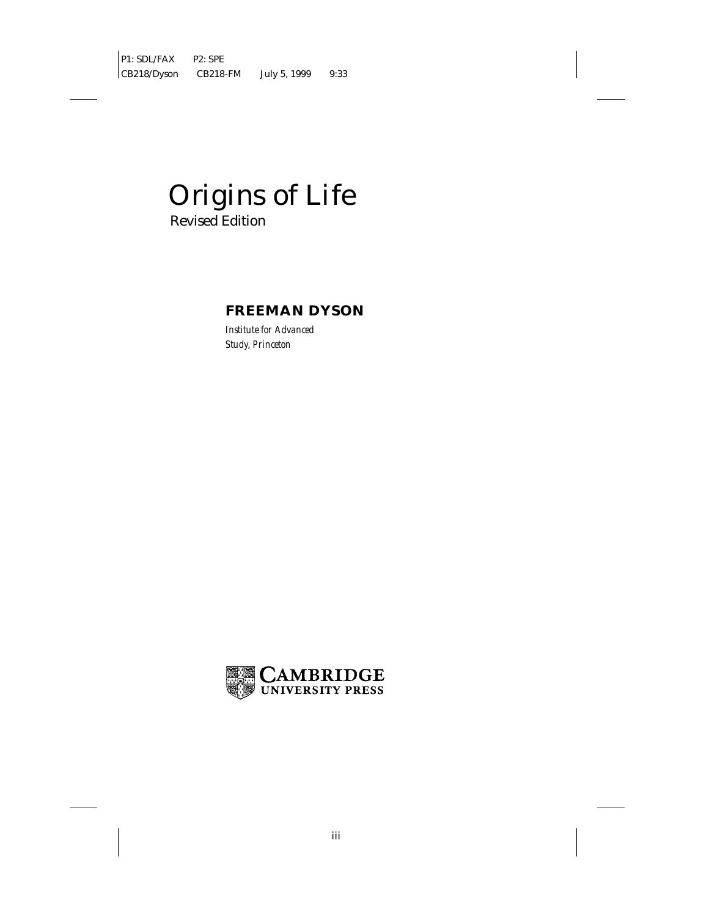# Origins of Life Revised Edition

### **FREEMAN DYSON**

*Institute for Advanced Study, Princeton*

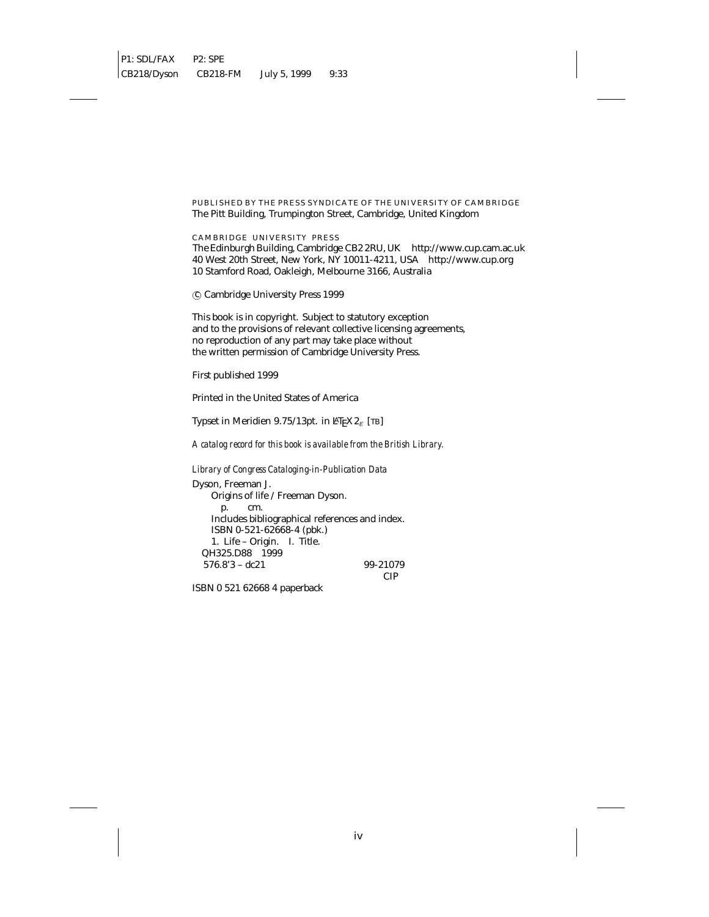PUBLISHED BY THE PRESS SYNDICATE OF THE UNIVERSITY OF CAMBRIDGE The Pitt Building, Trumpington Street, Cambridge, United Kingdom

CAMBRIDGE UNIVERSITY PRESS

The Edinburgh Building, Cambridge CB2 2RU, UK http://www.cup.cam.ac.uk 40 West 20th Street, New York, NY 10011-4211, USA http://www.cup.org 10 Stamford Road, Oakleigh, Melbourne 3166, Australia

°c Cambridge University Press 1999

This book is in copyright. Subject to statutory exception and to the provisions of relevant collective licensing agreements, no reproduction of any part may take place without the written permission of Cambridge University Press.

First published 1999

Printed in the United States of America

Typset in Meridien 9.75/13pt. in  $\mathbb{E}[\mathbf{r} X 2_{\varepsilon}]$  [TB]

*A catalog record for this book is available from the British Library.*

*Library of Congress Cataloging-in-Publication Data*

Dyson, Freeman J. Origins of life / Freeman Dyson. p. cm. Includes bibliographical references and index. ISBN 0-521-62668-4 (pbk.) 1. Life – Origin. I. Title. QH325.D88 1999 576.8'3 – dc21 99-21079 CIP

ISBN 0 521 62668 4 paperback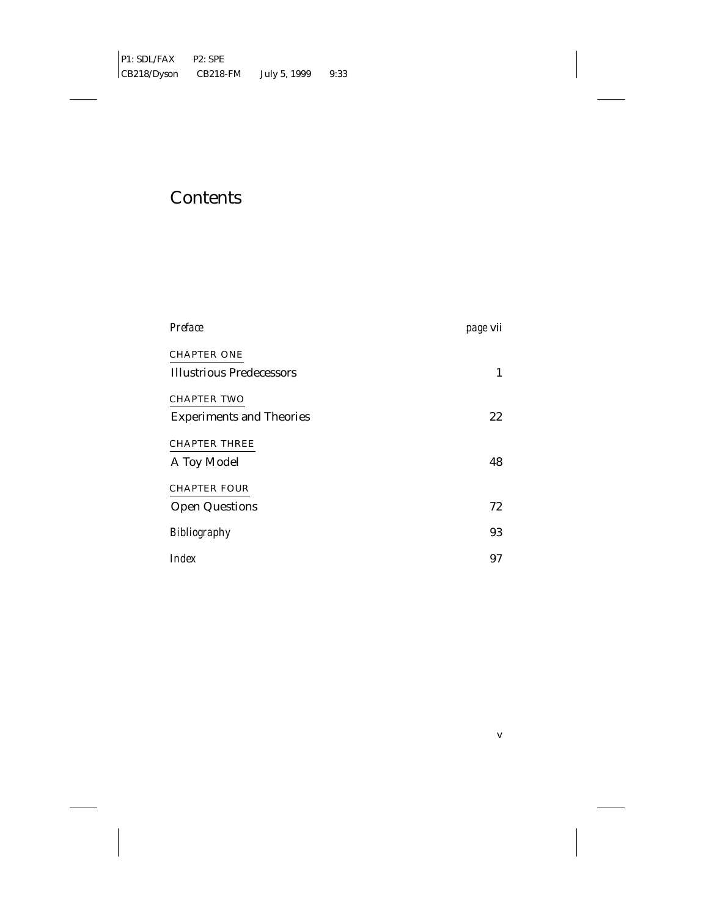## **Contents**

| Preface                         | page vii |
|---------------------------------|----------|
| <b>CHAPTER ONE</b>              |          |
| <b>Illustrious Predecessors</b> | 1        |
| <b>CHAPTER TWO</b>              |          |
| <b>Experiments and Theories</b> | $22\,$   |
| <b>CHAPTER THREE</b>            |          |
| A Toy Model                     | 48       |
| <b>CHAPTER FOUR</b>             |          |
| <b>Open Questions</b>           | 72       |
| Bibliography                    | 93       |
| <b>Index</b>                    | 97       |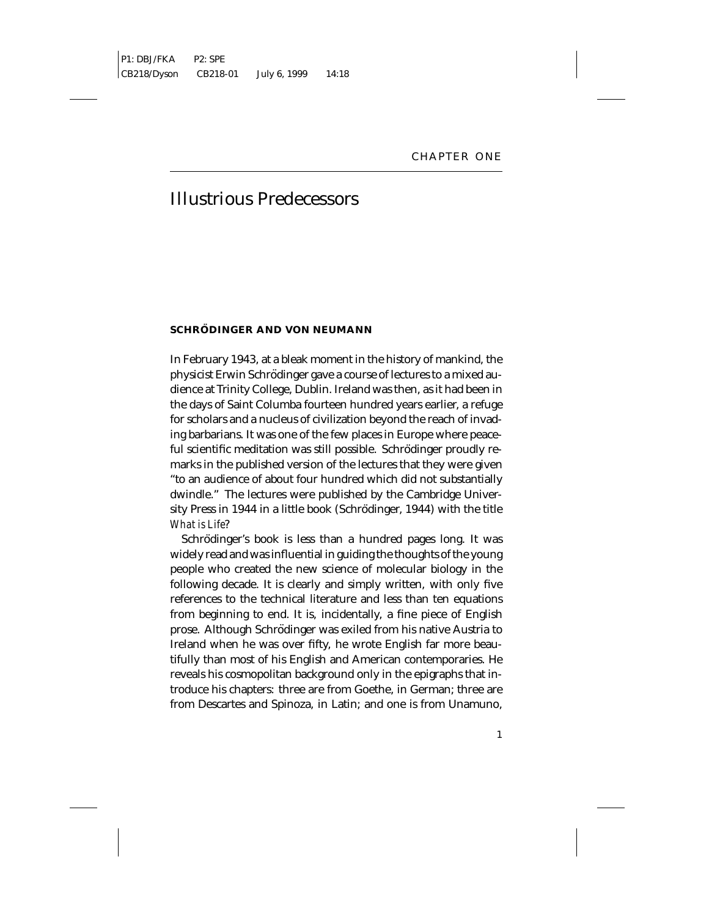### Illustrious Predecessors

#### **SCHRODINGER AND VON NEUMANN ¨**

In February 1943, at a bleak moment in the history of mankind, the physicist Erwin Schrödinger gave a course of lectures to a mixed audience at Trinity College, Dublin. Ireland was then, as it had been in the days of Saint Columba fourteen hundred years earlier, a refuge for scholars and a nucleus of civilization beyond the reach of invading barbarians. It was one of the few places in Europe where peaceful scientific meditation was still possible. Schrödinger proudly remarks in the published version of the lectures that they were given "to an audience of about four hundred which did not substantially dwindle." The lectures were published by the Cambridge University Press in 1944 in a little book (Schrödinger, 1944) with the title *What is Life*?

Schrödinger's book is less than a hundred pages long. It was widely read and was influential in guiding the thoughts of the young people who created the new science of molecular biology in the following decade. It is clearly and simply written, with only five references to the technical literature and less than ten equations from beginning to end. It is, incidentally, a fine piece of English prose. Although Schrödinger was exiled from his native Austria to Ireland when he was over fifty, he wrote English far more beautifully than most of his English and American contemporaries. He reveals his cosmopolitan background only in the epigraphs that introduce his chapters: three are from Goethe, in German; three are from Descartes and Spinoza, in Latin; and one is from Unamuno,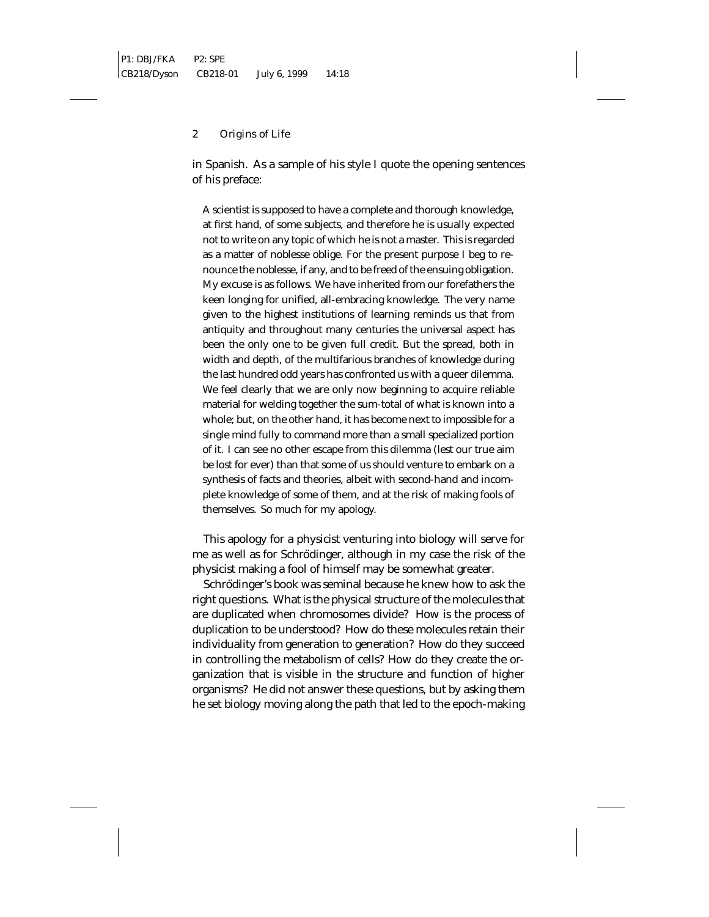in Spanish. As a sample of his style I quote the opening sentences of his preface:

A scientist is supposed to have a complete and thorough knowledge, at first hand, of some subjects, and therefore he is usually expected not to write on any topic of which he is not a master. This is regarded as a matter of noblesse oblige. For the present purpose I beg to renounce the noblesse, if any, and to be freed of the ensuing obligation. My excuse is as follows. We have inherited from our forefathers the keen longing for unified, all-embracing knowledge. The very name given to the highest institutions of learning reminds us that from antiquity and throughout many centuries the universal aspect has been the only one to be given full credit. But the spread, both in width and depth, of the multifarious branches of knowledge during the last hundred odd years has confronted us with a queer dilemma. We feel clearly that we are only now beginning to acquire reliable material for welding together the sum-total of what is known into a whole; but, on the other hand, it has become next to impossible for a single mind fully to command more than a small specialized portion of it. I can see no other escape from this dilemma (lest our true aim be lost for ever) than that some of us should venture to embark on a synthesis of facts and theories, albeit with second-hand and incomplete knowledge of some of them, and at the risk of making fools of themselves. So much for my apology.

This apology for a physicist venturing into biology will serve for me as well as for Schrödinger, although in my case the risk of the physicist making a fool of himself may be somewhat greater.

Schrödinger's book was seminal because he knew how to ask the right questions. What is the physical structure of the molecules that are duplicated when chromosomes divide? How is the process of duplication to be understood? How do these molecules retain their individuality from generation to generation? How do they succeed in controlling the metabolism of cells? How do they create the organization that is visible in the structure and function of higher organisms? He did not answer these questions, but by asking them he set biology moving along the path that led to the epoch-making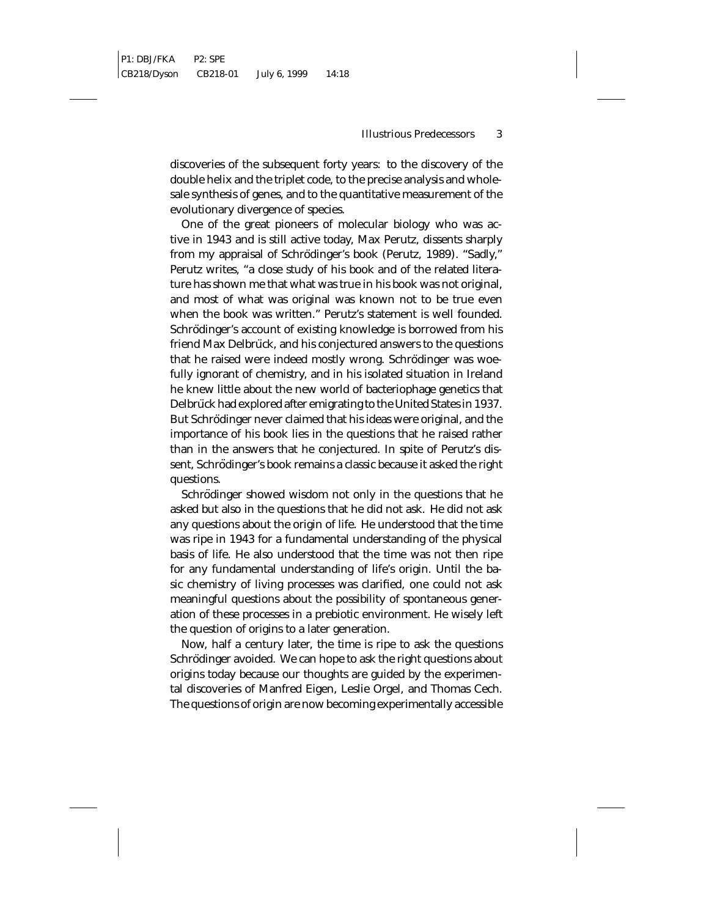discoveries of the subsequent forty years: to the discovery of the double helix and the triplet code, to the precise analysis and wholesale synthesis of genes, and to the quantitative measurement of the evolutionary divergence of species.

One of the great pioneers of molecular biology who was active in 1943 and is still active today, Max Perutz, dissents sharply from my appraisal of Schrödinger's book (Perutz, 1989). "Sadly," Perutz writes, "a close study of his book and of the related literature has shown me that what was true in his book was not original, and most of what was original was known not to be true even when the book was written." Perutz's statement is well founded. Schrödinger's account of existing knowledge is borrowed from his friend Max Delbrück, and his conjectured answers to the questions that he raised were indeed mostly wrong. Schrödinger was woefully ignorant of chemistry, and in his isolated situation in Ireland he knew little about the new world of bacteriophage genetics that Delbrück had explored after emigrating to the United States in 1937. But Schrödinger never claimed that his ideas were original, and the importance of his book lies in the questions that he raised rather than in the answers that he conjectured. In spite of Perutz's dissent, Schrödinger's book remains a classic because it asked the right questions.

Schrödinger showed wisdom not only in the questions that he asked but also in the questions that he did not ask. He did not ask any questions about the origin of life. He understood that the time was ripe in 1943 for a fundamental understanding of the physical basis of life. He also understood that the time was not then ripe for any fundamental understanding of life's origin. Until the basic chemistry of living processes was clarified, one could not ask meaningful questions about the possibility of spontaneous generation of these processes in a prebiotic environment. He wisely left the question of origins to a later generation.

Now, half a century later, the time is ripe to ask the questions Schrödinger avoided. We can hope to ask the right questions about origins today because our thoughts are guided by the experimental discoveries of Manfred Eigen, Leslie Orgel, and Thomas Cech. The questions of origin are now becoming experimentally accessible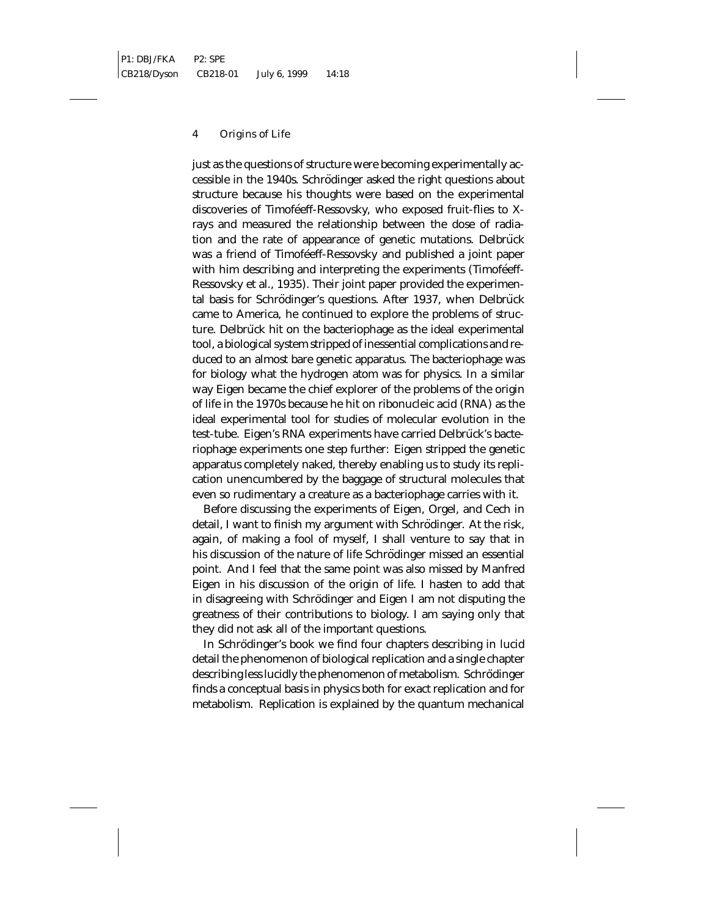just as the questions of structure were becoming experimentally accessible in the 1940s. Schrödinger asked the right questions about structure because his thoughts were based on the experimental discoveries of Timoféeff-Ressovsky, who exposed fruit-flies to Xrays and measured the relationship between the dose of radiation and the rate of appearance of genetic mutations. Delbrück was a friend of Timoféeff-Ressovsky and published a joint paper with him describing and interpreting the experiments (Timoféeff-Ressovsky et al., 1935). Their joint paper provided the experimental basis for Schrödinger's questions. After 1937, when Delbrück came to America, he continued to explore the problems of structure. Delbrück hit on the bacteriophage as the ideal experimental tool, a biological system stripped of inessential complications and reduced to an almost bare genetic apparatus. The bacteriophage was for biology what the hydrogen atom was for physics. In a similar way Eigen became the chief explorer of the problems of the origin of life in the 1970s because he hit on ribonucleic acid (RNA) as the ideal experimental tool for studies of molecular evolution in the test-tube. Eigen's RNA experiments have carried Delbrück's bacteriophage experiments one step further: Eigen stripped the genetic apparatus completely naked, thereby enabling us to study its replication unencumbered by the baggage of structural molecules that even so rudimentary a creature as a bacteriophage carries with it.

Before discussing the experiments of Eigen, Orgel, and Cech in detail, I want to finish my argument with Schrödinger. At the risk, again, of making a fool of myself, I shall venture to say that in his discussion of the nature of life Schrödinger missed an essential point. And I feel that the same point was also missed by Manfred Eigen in his discussion of the origin of life. I hasten to add that in disagreeing with Schrödinger and Eigen I am not disputing the greatness of their contributions to biology. I am saying only that they did not ask all of the important questions.

In Schrödinger's book we find four chapters describing in lucid detail the phenomenon of biological replication and a single chapter describing less lucidly the phenomenon of metabolism. Schrödinger finds a conceptual basis in physics both for exact replication and for metabolism. Replication is explained by the quantum mechanical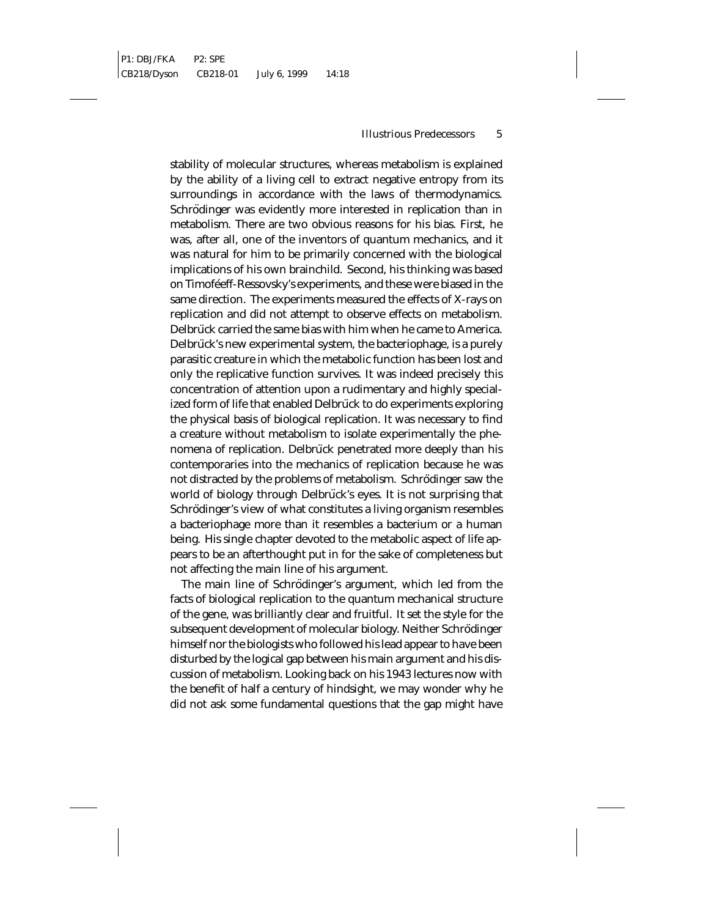stability of molecular structures, whereas metabolism is explained by the ability of a living cell to extract negative entropy from its surroundings in accordance with the laws of thermodynamics. Schrödinger was evidently more interested in replication than in metabolism. There are two obvious reasons for his bias. First, he was, after all, one of the inventors of quantum mechanics, and it was natural for him to be primarily concerned with the biological implications of his own brainchild. Second, his thinking was based on Timoféeff-Ressovsky's experiments, and these were biased in the same direction. The experiments measured the effects of X-rays on replication and did not attempt to observe effects on metabolism. Delbrück carried the same bias with him when he came to America. Delbrück's new experimental system, the bacteriophage, is a purely parasitic creature in which the metabolic function has been lost and only the replicative function survives. It was indeed precisely this concentration of attention upon a rudimentary and highly specialized form of life that enabled Delbrück to do experiments exploring the physical basis of biological replication. It was necessary to find a creature without metabolism to isolate experimentally the phenomena of replication. Delbrück penetrated more deeply than his contemporaries into the mechanics of replication because he was not distracted by the problems of metabolism. Schrödinger saw the world of biology through Delbrück's eyes. It is not surprising that Schrödinger's view of what constitutes a living organism resembles a bacteriophage more than it resembles a bacterium or a human being. His single chapter devoted to the metabolic aspect of life appears to be an afterthought put in for the sake of completeness but not affecting the main line of his argument.

The main line of Schrödinger's argument, which led from the facts of biological replication to the quantum mechanical structure of the gene, was brilliantly clear and fruitful. It set the style for the subsequent development of molecular biology. Neither Schrödinger himself nor the biologists who followed his lead appear to have been disturbed by the logical gap between his main argument and his discussion of metabolism. Looking back on his 1943 lectures now with the benefit of half a century of hindsight, we may wonder why he did not ask some fundamental questions that the gap might have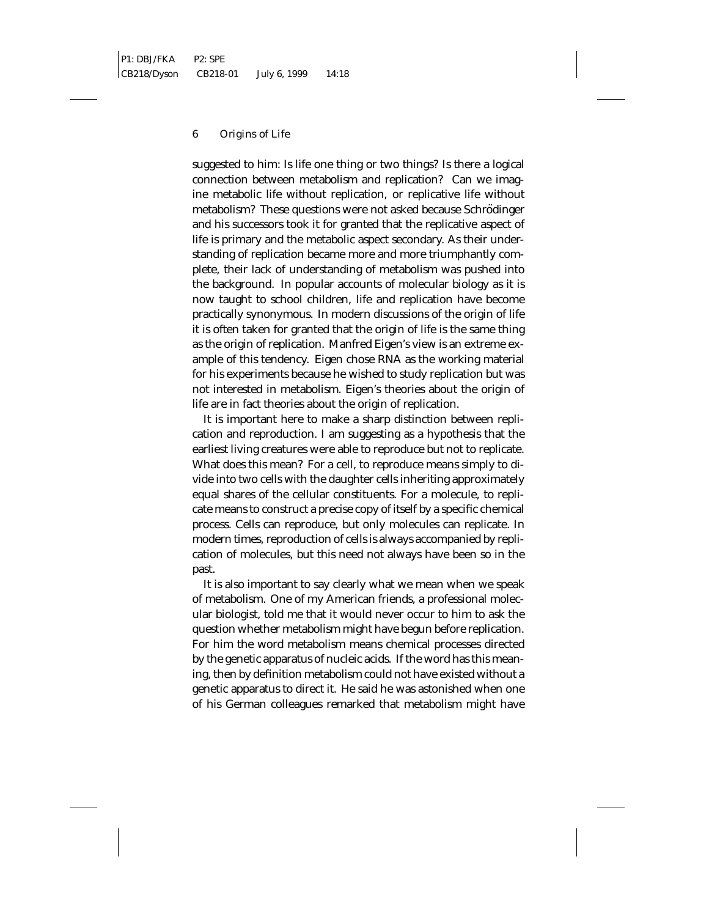suggested to him: Is life one thing or two things? Is there a logical connection between metabolism and replication? Can we imagine metabolic life without replication, or replicative life without metabolism? These questions were not asked because Schrödinger and his successors took it for granted that the replicative aspect of life is primary and the metabolic aspect secondary. As their understanding of replication became more and more triumphantly complete, their lack of understanding of metabolism was pushed into the background. In popular accounts of molecular biology as it is now taught to school children, life and replication have become practically synonymous. In modern discussions of the origin of life it is often taken for granted that the origin of life is the same thing as the origin of replication. Manfred Eigen's view is an extreme example of this tendency. Eigen chose RNA as the working material for his experiments because he wished to study replication but was not interested in metabolism. Eigen's theories about the origin of life are in fact theories about the origin of replication.

It is important here to make a sharp distinction between replication and reproduction. I am suggesting as a hypothesis that the earliest living creatures were able to reproduce but not to replicate. What does this mean? For a cell, to reproduce means simply to divide into two cells with the daughter cells inheriting approximately equal shares of the cellular constituents. For a molecule, to replicate means to construct a precise copy of itself by a specific chemical process. Cells can reproduce, but only molecules can replicate. In modern times, reproduction of cells is always accompanied by replication of molecules, but this need not always have been so in the past.

It is also important to say clearly what we mean when we speak of metabolism. One of my American friends, a professional molecular biologist, told me that it would never occur to him to ask the question whether metabolism might have begun before replication. For him the word metabolism means chemical processes directed by the genetic apparatus of nucleic acids. If the word has this meaning, then by definition metabolism could not have existed without a genetic apparatus to direct it. He said he was astonished when one of his German colleagues remarked that metabolism might have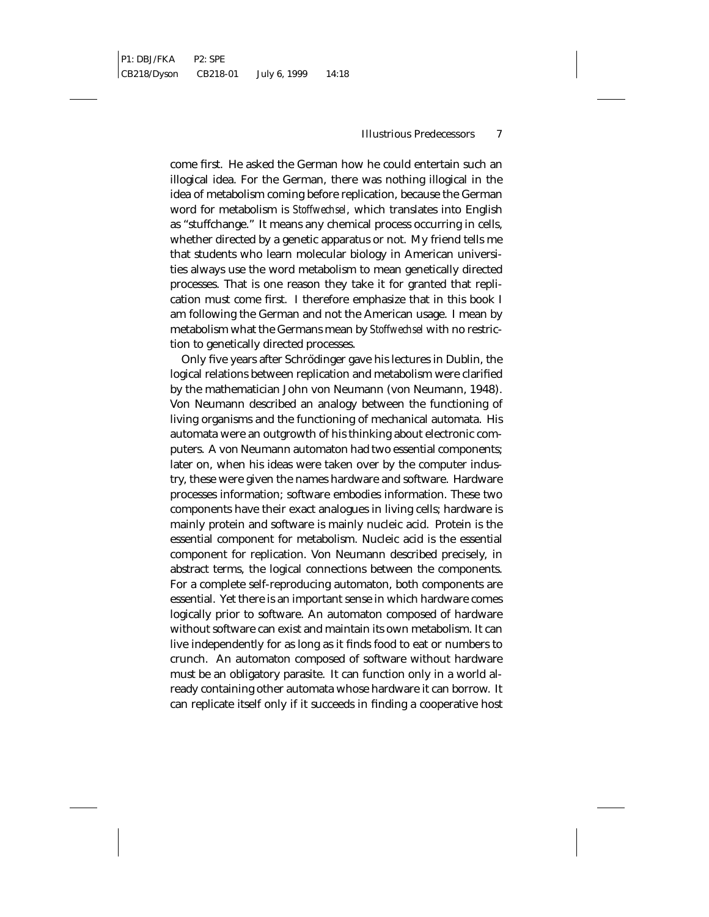come first. He asked the German how he could entertain such an illogical idea. For the German, there was nothing illogical in the idea of metabolism coming before replication, because the German word for metabolism is *Stoffwechsel*, which translates into English as "stuffchange." It means any chemical process occurring in cells, whether directed by a genetic apparatus or not. My friend tells me that students who learn molecular biology in American universities always use the word metabolism to mean genetically directed processes. That is one reason they take it for granted that replication must come first. I therefore emphasize that in this book I am following the German and not the American usage. I mean by metabolism what the Germans mean by *Stoffwechsel* with no restriction to genetically directed processes.

Only five years after Schrödinger gave his lectures in Dublin, the logical relations between replication and metabolism were clarified by the mathematician John von Neumann (von Neumann, 1948). Von Neumann described an analogy between the functioning of living organisms and the functioning of mechanical automata. His automata were an outgrowth of his thinking about electronic computers. A von Neumann automaton had two essential components; later on, when his ideas were taken over by the computer industry, these were given the names hardware and software. Hardware processes information; software embodies information. These two components have their exact analogues in living cells; hardware is mainly protein and software is mainly nucleic acid. Protein is the essential component for metabolism. Nucleic acid is the essential component for replication. Von Neumann described precisely, in abstract terms, the logical connections between the components. For a complete self-reproducing automaton, both components are essential. Yet there is an important sense in which hardware comes logically prior to software. An automaton composed of hardware without software can exist and maintain its own metabolism. It can live independently for as long as it finds food to eat or numbers to crunch. An automaton composed of software without hardware must be an obligatory parasite. It can function only in a world already containing other automata whose hardware it can borrow. It can replicate itself only if it succeeds in finding a cooperative host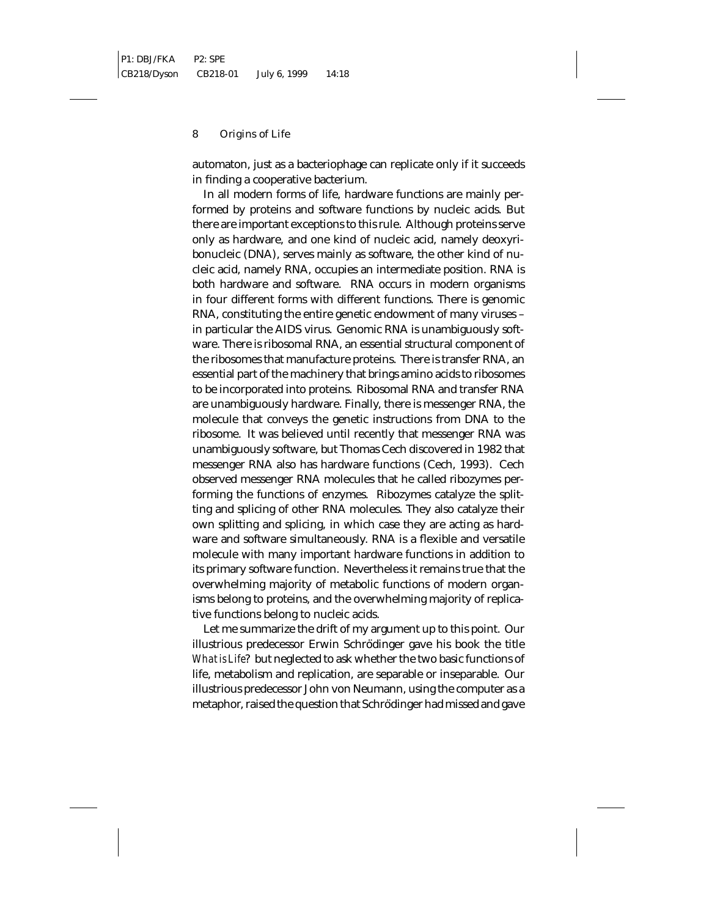automaton, just as a bacteriophage can replicate only if it succeeds in finding a cooperative bacterium.

In all modern forms of life, hardware functions are mainly performed by proteins and software functions by nucleic acids. But there are important exceptions to this rule. Although proteins serve only as hardware, and one kind of nucleic acid, namely deoxyribonucleic (DNA), serves mainly as software, the other kind of nucleic acid, namely RNA, occupies an intermediate position. RNA is both hardware and software. RNA occurs in modern organisms in four different forms with different functions. There is genomic RNA, constituting the entire genetic endowment of many viruses – in particular the AIDS virus. Genomic RNA is unambiguously software. There is ribosomal RNA, an essential structural component of the ribosomes that manufacture proteins. There is transfer RNA, an essential part of the machinery that brings amino acids to ribosomes to be incorporated into proteins. Ribosomal RNA and transfer RNA are unambiguously hardware. Finally, there is messenger RNA, the molecule that conveys the genetic instructions from DNA to the ribosome. It was believed until recently that messenger RNA was unambiguously software, but Thomas Cech discovered in 1982 that messenger RNA also has hardware functions (Cech, 1993). Cech observed messenger RNA molecules that he called ribozymes performing the functions of enzymes. Ribozymes catalyze the splitting and splicing of other RNA molecules. They also catalyze their own splitting and splicing, in which case they are acting as hardware and software simultaneously. RNA is a flexible and versatile molecule with many important hardware functions in addition to its primary software function. Nevertheless it remains true that the overwhelming majority of metabolic functions of modern organisms belong to proteins, and the overwhelming majority of replicative functions belong to nucleic acids.

Let me summarize the drift of my argument up to this point. Our illustrious predecessor Erwin Schrödinger gave his book the title *What is Life*? but neglected to ask whether the two basic functions of life, metabolism and replication, are separable or inseparable. Our illustrious predecessor John von Neumann, using the computer as a metaphor, raised the question that Schrödinger had missed and gave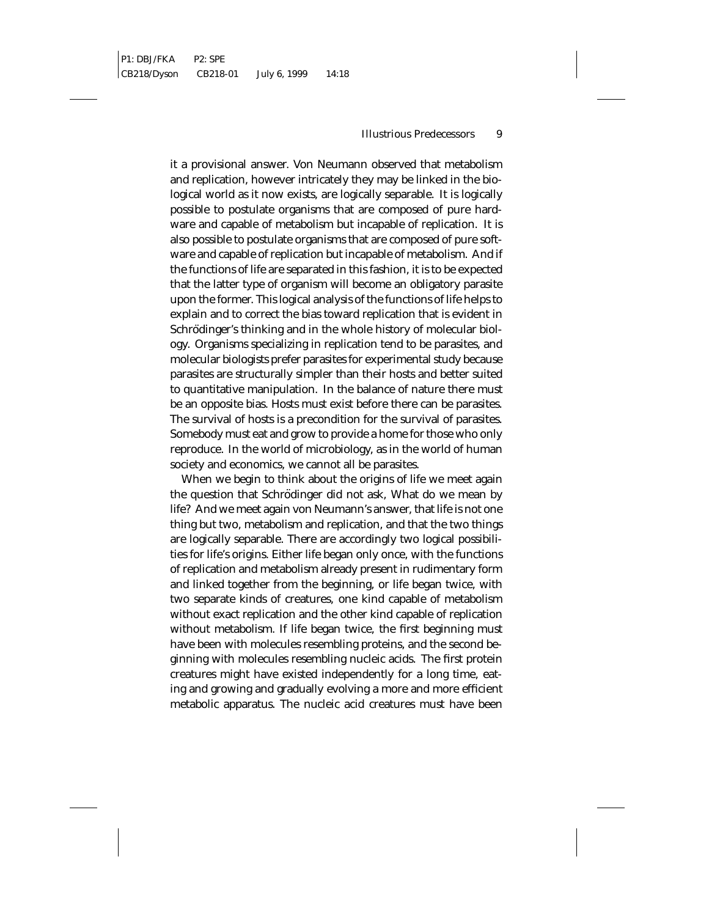it a provisional answer. Von Neumann observed that metabolism and replication, however intricately they may be linked in the biological world as it now exists, are logically separable. It is logically possible to postulate organisms that are composed of pure hardware and capable of metabolism but incapable of replication. It is also possible to postulate organisms that are composed of pure software and capable of replication but incapable of metabolism. And if the functions of life are separated in this fashion, it is to be expected that the latter type of organism will become an obligatory parasite upon the former. This logical analysis of the functions of life helps to explain and to correct the bias toward replication that is evident in Schrödinger's thinking and in the whole history of molecular biology. Organisms specializing in replication tend to be parasites, and molecular biologists prefer parasites for experimental study because parasites are structurally simpler than their hosts and better suited to quantitative manipulation. In the balance of nature there must be an opposite bias. Hosts must exist before there can be parasites. The survival of hosts is a precondition for the survival of parasites. Somebody must eat and grow to provide a home for those who only reproduce. In the world of microbiology, as in the world of human society and economics, we cannot all be parasites.

When we begin to think about the origins of life we meet again the question that Schrödinger did not ask, What do we mean by life? And we meet again von Neumann's answer, that life is not one thing but two, metabolism and replication, and that the two things are logically separable. There are accordingly two logical possibilities for life's origins. Either life began only once, with the functions of replication and metabolism already present in rudimentary form and linked together from the beginning, or life began twice, with two separate kinds of creatures, one kind capable of metabolism without exact replication and the other kind capable of replication without metabolism. If life began twice, the first beginning must have been with molecules resembling proteins, and the second beginning with molecules resembling nucleic acids. The first protein creatures might have existed independently for a long time, eating and growing and gradually evolving a more and more efficient metabolic apparatus. The nucleic acid creatures must have been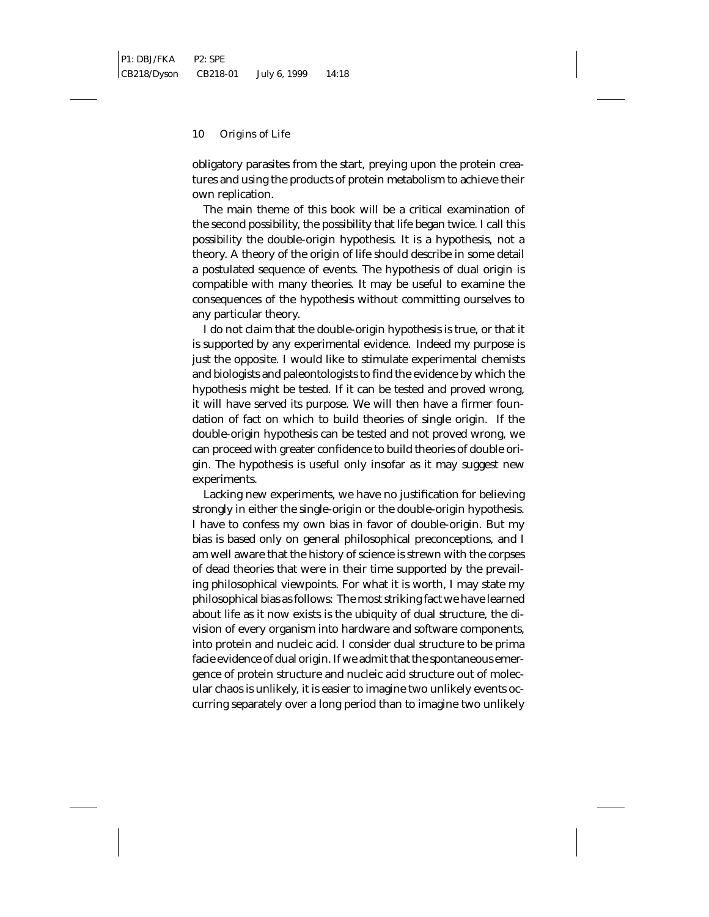obligatory parasites from the start, preying upon the protein creatures and using the products of protein metabolism to achieve their own replication.

The main theme of this book will be a critical examination of the second possibility, the possibility that life began twice. I call this possibility the double-origin hypothesis. It is a hypothesis, not a theory. A theory of the origin of life should describe in some detail a postulated sequence of events. The hypothesis of dual origin is compatible with many theories. It may be useful to examine the consequences of the hypothesis without committing ourselves to any particular theory.

I do not claim that the double-origin hypothesis is true, or that it is supported by any experimental evidence. Indeed my purpose is just the opposite. I would like to stimulate experimental chemists and biologists and paleontologists to find the evidence by which the hypothesis might be tested. If it can be tested and proved wrong, it will have served its purpose. We will then have a firmer foundation of fact on which to build theories of single origin. If the double-origin hypothesis can be tested and not proved wrong, we can proceed with greater confidence to build theories of double origin. The hypothesis is useful only insofar as it may suggest new experiments.

Lacking new experiments, we have no justification for believing strongly in either the single-origin or the double-origin hypothesis. I have to confess my own bias in favor of double-origin. But my bias is based only on general philosophical preconceptions, and I am well aware that the history of science is strewn with the corpses of dead theories that were in their time supported by the prevailing philosophical viewpoints. For what it is worth, I may state my philosophical bias as follows: The most striking fact we have learned about life as it now exists is the ubiquity of dual structure, the division of every organism into hardware and software components, into protein and nucleic acid. I consider dual structure to be prima facie evidence of dual origin. If we admit that the spontaneous emergence of protein structure and nucleic acid structure out of molecular chaos is unlikely, it is easier to imagine two unlikely events occurring separately over a long period than to imagine two unlikely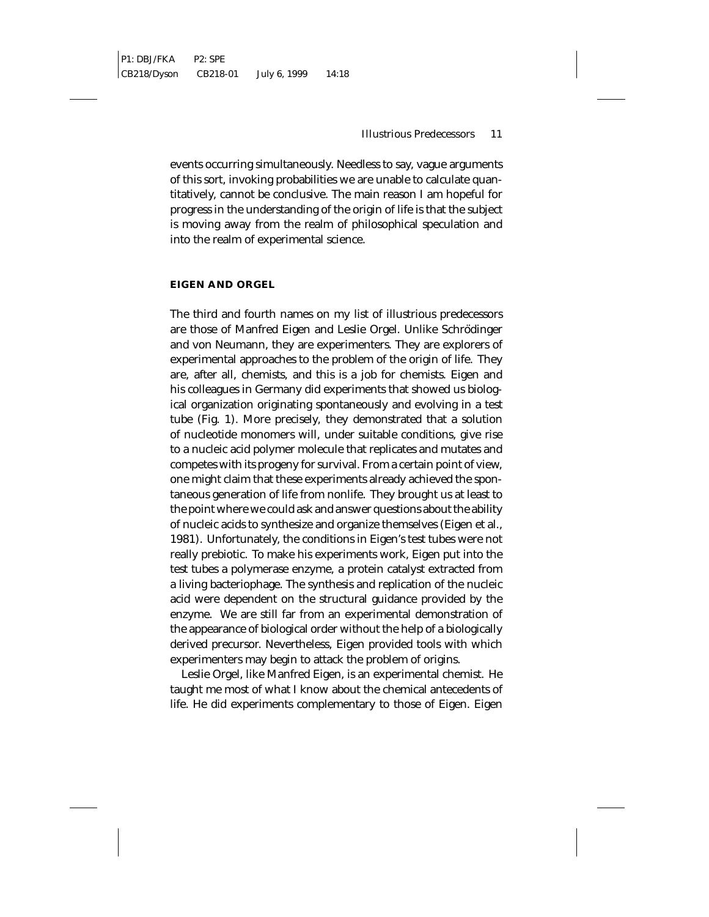events occurring simultaneously. Needless to say, vague arguments of this sort, invoking probabilities we are unable to calculate quantitatively, cannot be conclusive. The main reason I am hopeful for progress in the understanding of the origin of life is that the subject is moving away from the realm of philosophical speculation and into the realm of experimental science.

#### **EIGEN AND ORGEL**

The third and fourth names on my list of illustrious predecessors are those of Manfred Eigen and Leslie Orgel. Unlike Schrödinger and von Neumann, they are experimenters. They are explorers of experimental approaches to the problem of the origin of life. They are, after all, chemists, and this is a job for chemists. Eigen and his colleagues in Germany did experiments that showed us biological organization originating spontaneously and evolving in a test tube (Fig. 1). More precisely, they demonstrated that a solution of nucleotide monomers will, under suitable conditions, give rise to a nucleic acid polymer molecule that replicates and mutates and competes with its progeny for survival. From a certain point of view, one might claim that these experiments already achieved the spontaneous generation of life from nonlife. They brought us at least to the point where we could ask and answer questions about the ability of nucleic acids to synthesize and organize themselves (Eigen et al., 1981). Unfortunately, the conditions in Eigen's test tubes were not really prebiotic. To make his experiments work, Eigen put into the test tubes a polymerase enzyme, a protein catalyst extracted from a living bacteriophage. The synthesis and replication of the nucleic acid were dependent on the structural guidance provided by the enzyme. We are still far from an experimental demonstration of the appearance of biological order without the help of a biologically derived precursor. Nevertheless, Eigen provided tools with which experimenters may begin to attack the problem of origins.

Leslie Orgel, like Manfred Eigen, is an experimental chemist. He taught me most of what I know about the chemical antecedents of life. He did experiments complementary to those of Eigen. Eigen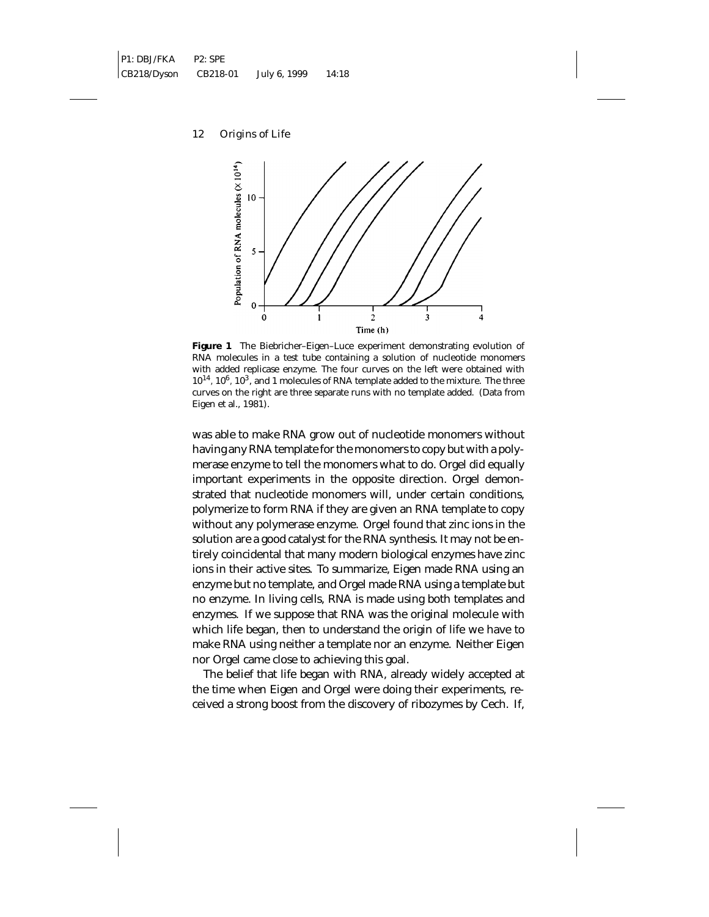

**Figure 1** The Biebricher–Eigen–Luce experiment demonstrating evolution of RNA molecules in a test tube containing a solution of nucleotide monomers with added replicase enzyme. The four curves on the left were obtained with 1014*,* 106*,* 103, and 1 molecules of RNA template added to the mixture. The three curves on the right are three separate runs with no template added. (Data from Eigen et al., 1981).

was able to make RNA grow out of nucleotide monomers without having any RNA template for the monomers to copy but with a polymerase enzyme to tell the monomers what to do. Orgel did equally important experiments in the opposite direction. Orgel demonstrated that nucleotide monomers will, under certain conditions, polymerize to form RNA if they are given an RNA template to copy without any polymerase enzyme. Orgel found that zinc ions in the solution are a good catalyst for the RNA synthesis. It may not be entirely coincidental that many modern biological enzymes have zinc ions in their active sites. To summarize, Eigen made RNA using an enzyme but no template, and Orgel made RNA using a template but no enzyme. In living cells, RNA is made using both templates and enzymes. If we suppose that RNA was the original molecule with which life began, then to understand the origin of life we have to make RNA using neither a template nor an enzyme. Neither Eigen nor Orgel came close to achieving this goal.

The belief that life began with RNA, already widely accepted at the time when Eigen and Orgel were doing their experiments, received a strong boost from the discovery of ribozymes by Cech. If,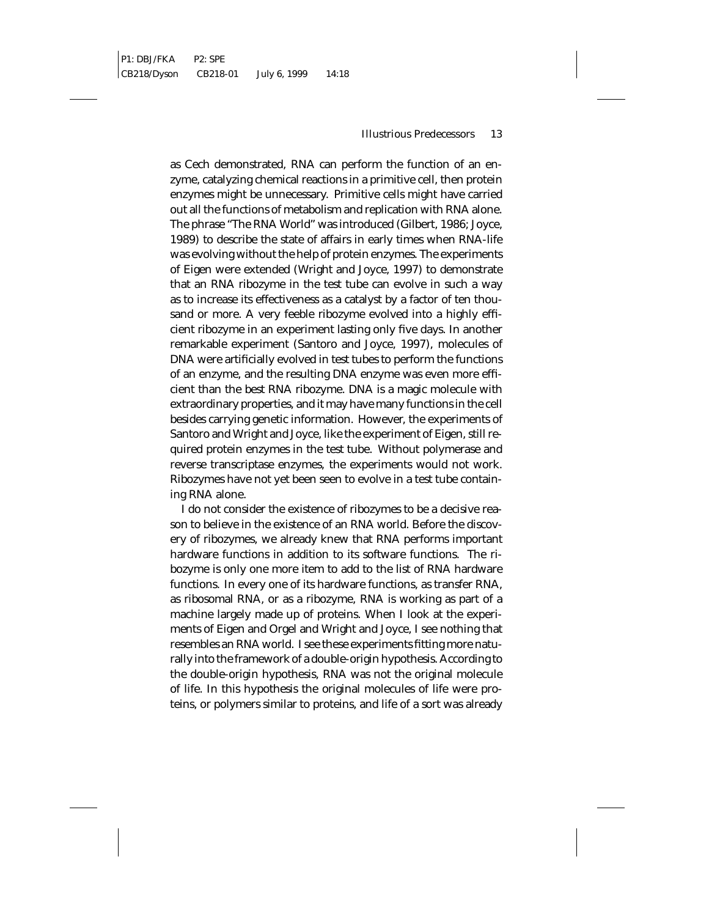as Cech demonstrated, RNA can perform the function of an enzyme, catalyzing chemical reactions in a primitive cell, then protein enzymes might be unnecessary. Primitive cells might have carried out all the functions of metabolism and replication with RNA alone. The phrase "The RNA World" was introduced (Gilbert, 1986; Joyce, 1989) to describe the state of affairs in early times when RNA-life was evolving without the help of protein enzymes. The experiments of Eigen were extended (Wright and Joyce, 1997) to demonstrate that an RNA ribozyme in the test tube can evolve in such a way as to increase its effectiveness as a catalyst by a factor of ten thousand or more. A very feeble ribozyme evolved into a highly efficient ribozyme in an experiment lasting only five days. In another remarkable experiment (Santoro and Joyce, 1997), molecules of DNA were artificially evolved in test tubes to perform the functions of an enzyme, and the resulting DNA enzyme was even more efficient than the best RNA ribozyme. DNA is a magic molecule with extraordinary properties, and it may have many functions in the cell besides carrying genetic information. However, the experiments of Santoro and Wright and Joyce, like the experiment of Eigen, still required protein enzymes in the test tube. Without polymerase and reverse transcriptase enzymes, the experiments would not work. Ribozymes have not yet been seen to evolve in a test tube containing RNA alone.

I do not consider the existence of ribozymes to be a decisive reason to believe in the existence of an RNA world. Before the discovery of ribozymes, we already knew that RNA performs important hardware functions in addition to its software functions. The ribozyme is only one more item to add to the list of RNA hardware functions. In every one of its hardware functions, as transfer RNA, as ribosomal RNA, or as a ribozyme, RNA is working as part of a machine largely made up of proteins. When I look at the experiments of Eigen and Orgel and Wright and Joyce, I see nothing that resembles an RNA world. I see these experiments fitting more naturally into the framework of a double-origin hypothesis. According to the double-origin hypothesis, RNA was not the original molecule of life. In this hypothesis the original molecules of life were proteins, or polymers similar to proteins, and life of a sort was already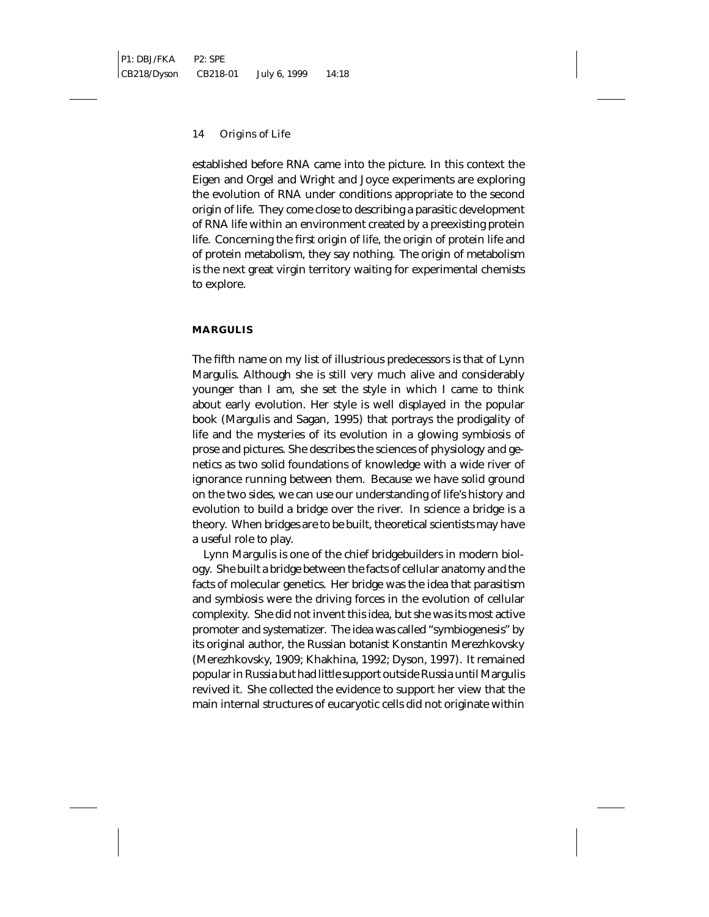established before RNA came into the picture. In this context the Eigen and Orgel and Wright and Joyce experiments are exploring the evolution of RNA under conditions appropriate to the second origin of life. They come close to describing a parasitic development of RNA life within an environment created by a preexisting protein life. Concerning the first origin of life, the origin of protein life and of protein metabolism, they say nothing. The origin of metabolism is the next great virgin territory waiting for experimental chemists to explore.

### **MARGULIS**

The fifth name on my list of illustrious predecessors is that of Lynn Margulis. Although she is still very much alive and considerably younger than I am, she set the style in which I came to think about early evolution. Her style is well displayed in the popular book (Margulis and Sagan, 1995) that portrays the prodigality of life and the mysteries of its evolution in a glowing symbiosis of prose and pictures. She describes the sciences of physiology and genetics as two solid foundations of knowledge with a wide river of ignorance running between them. Because we have solid ground on the two sides, we can use our understanding of life's history and evolution to build a bridge over the river. In science a bridge is a theory. When bridges are to be built, theoretical scientists may have a useful role to play.

Lynn Margulis is one of the chief bridgebuilders in modern biology. She built a bridge between the facts of cellular anatomy and the facts of molecular genetics. Her bridge was the idea that parasitism and symbiosis were the driving forces in the evolution of cellular complexity. She did not invent this idea, but she was its most active promoter and systematizer. The idea was called "symbiogenesis" by its original author, the Russian botanist Konstantin Merezhkovsky (Merezhkovsky, 1909; Khakhina, 1992; Dyson, 1997). It remained popular in Russia but had little support outside Russia until Margulis revived it. She collected the evidence to support her view that the main internal structures of eucaryotic cells did not originate within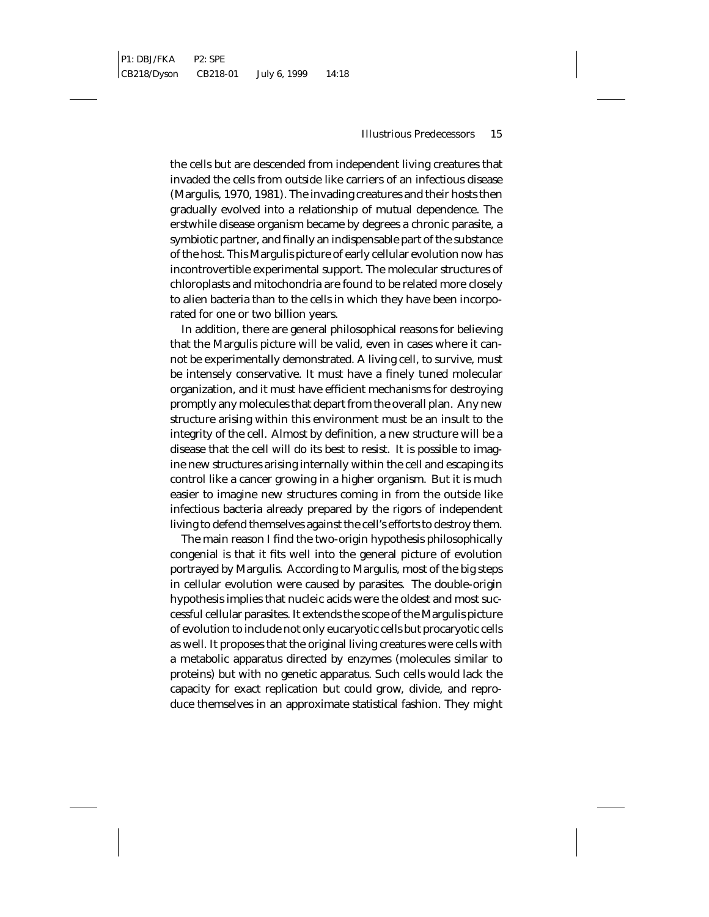the cells but are descended from independent living creatures that invaded the cells from outside like carriers of an infectious disease (Margulis, 1970, 1981). The invading creatures and their hosts then gradually evolved into a relationship of mutual dependence. The erstwhile disease organism became by degrees a chronic parasite, a symbiotic partner, and finally an indispensable part of the substance of the host. This Margulis picture of early cellular evolution now has incontrovertible experimental support. The molecular structures of chloroplasts and mitochondria are found to be related more closely to alien bacteria than to the cells in which they have been incorporated for one or two billion years.

In addition, there are general philosophical reasons for believing that the Margulis picture will be valid, even in cases where it cannot be experimentally demonstrated. A living cell, to survive, must be intensely conservative. It must have a finely tuned molecular organization, and it must have efficient mechanisms for destroying promptly any molecules that depart from the overall plan. Any new structure arising within this environment must be an insult to the integrity of the cell. Almost by definition, a new structure will be a disease that the cell will do its best to resist. It is possible to imagine new structures arising internally within the cell and escaping its control like a cancer growing in a higher organism. But it is much easier to imagine new structures coming in from the outside like infectious bacteria already prepared by the rigors of independent living to defend themselves against the cell's efforts to destroy them.

The main reason I find the two-origin hypothesis philosophically congenial is that it fits well into the general picture of evolution portrayed by Margulis. According to Margulis, most of the big steps in cellular evolution were caused by parasites. The double-origin hypothesis implies that nucleic acids were the oldest and most successful cellular parasites. It extends the scope of the Margulis picture of evolution to include not only eucaryotic cells but procaryotic cells as well. It proposes that the original living creatures were cells with a metabolic apparatus directed by enzymes (molecules similar to proteins) but with no genetic apparatus. Such cells would lack the capacity for exact replication but could grow, divide, and reproduce themselves in an approximate statistical fashion. They might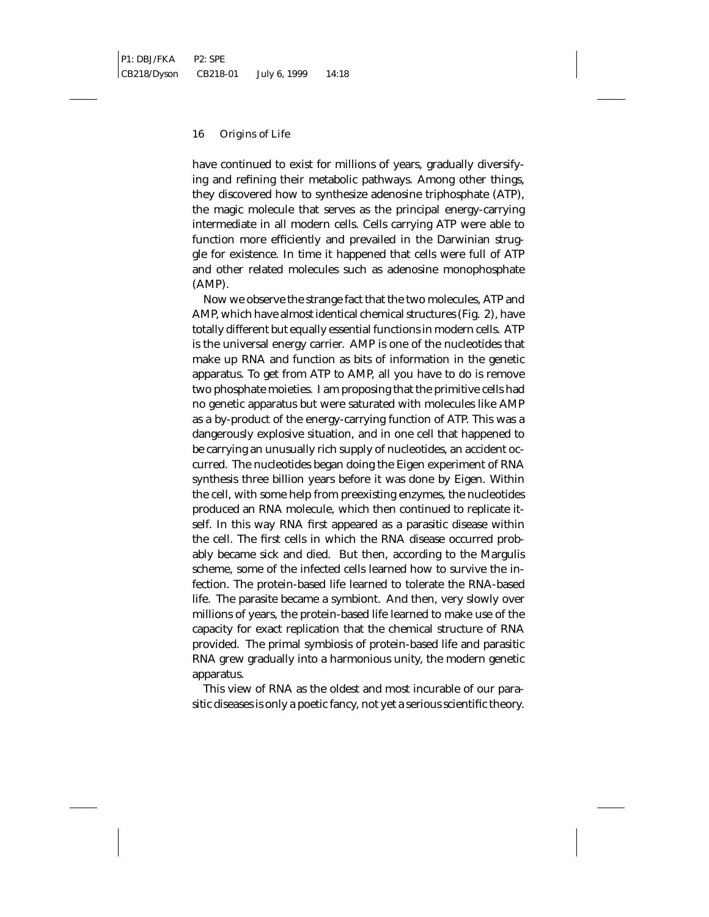have continued to exist for millions of years, gradually diversifying and refining their metabolic pathways. Among other things, they discovered how to synthesize adenosine triphosphate (ATP), the magic molecule that serves as the principal energy-carrying intermediate in all modern cells. Cells carrying ATP were able to function more efficiently and prevailed in the Darwinian struggle for existence. In time it happened that cells were full of ATP and other related molecules such as adenosine monophosphate (AMP).

Now we observe the strange fact that the two molecules, ATP and AMP, which have almost identical chemical structures (Fig. 2), have totally different but equally essential functions in modern cells. ATP is the universal energy carrier. AMP is one of the nucleotides that make up RNA and function as bits of information in the genetic apparatus. To get from ATP to AMP, all you have to do is remove two phosphate moieties. I am proposing that the primitive cells had no genetic apparatus but were saturated with molecules like AMP as a by-product of the energy-carrying function of ATP. This was a dangerously explosive situation, and in one cell that happened to be carrying an unusually rich supply of nucleotides, an accident occurred. The nucleotides began doing the Eigen experiment of RNA synthesis three billion years before it was done by Eigen. Within the cell, with some help from preexisting enzymes, the nucleotides produced an RNA molecule, which then continued to replicate itself. In this way RNA first appeared as a parasitic disease within the cell. The first cells in which the RNA disease occurred probably became sick and died. But then, according to the Margulis scheme, some of the infected cells learned how to survive the infection. The protein-based life learned to tolerate the RNA-based life. The parasite became a symbiont. And then, very slowly over millions of years, the protein-based life learned to make use of the capacity for exact replication that the chemical structure of RNA provided. The primal symbiosis of protein-based life and parasitic RNA grew gradually into a harmonious unity, the modern genetic apparatus.

This view of RNA as the oldest and most incurable of our parasitic diseases is only a poetic fancy, not yet a serious scientific theory.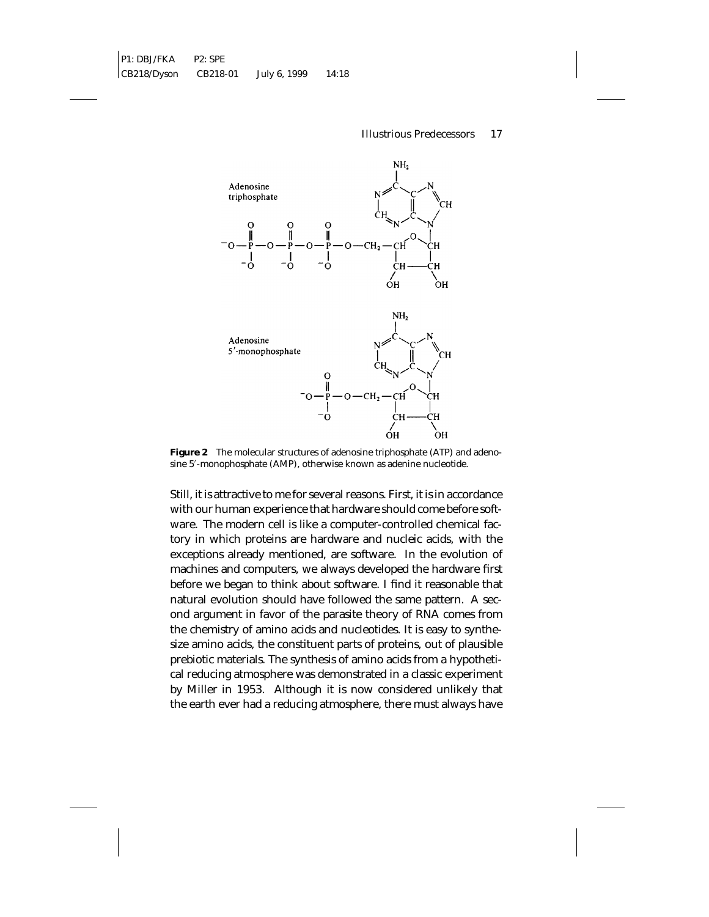

**Figure 2** The molecular structures of adenosine triphosphate (ATP) and adenosine 5'-monophosphate (AMP), otherwise known as adenine nucleotide.

Still, it is attractive to me for several reasons. First, it is in accordance with our human experience that hardware should come before software. The modern cell is like a computer-controlled chemical factory in which proteins are hardware and nucleic acids, with the exceptions already mentioned, are software. In the evolution of machines and computers, we always developed the hardware first before we began to think about software. I find it reasonable that natural evolution should have followed the same pattern. A second argument in favor of the parasite theory of RNA comes from the chemistry of amino acids and nucleotides. It is easy to synthesize amino acids, the constituent parts of proteins, out of plausible prebiotic materials. The synthesis of amino acids from a hypothetical reducing atmosphere was demonstrated in a classic experiment by Miller in 1953. Although it is now considered unlikely that the earth ever had a reducing atmosphere, there must always have